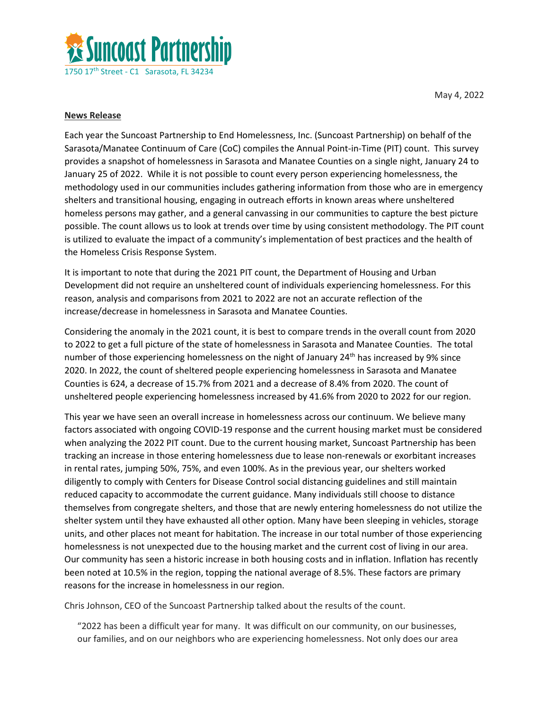

May 4, 2022

## **News Release**

Each year the Suncoast Partnership to End Homelessness, Inc. (Suncoast Partnership) on behalf of the Sarasota/Manatee Continuum of Care (CoC) compiles the Annual Point-in-Time (PIT) count. This survey provides a snapshot of homelessness in Sarasota and Manatee Counties on a single night, January 24 to January 25 of 2022. While it is not possible to count every person experiencing homelessness, the methodology used in our communities includes gathering information from those who are in emergency shelters and transitional housing, engaging in outreach efforts in known areas where unsheltered homeless persons may gather, and a general canvassing in our communities to capture the best picture possible. The count allows us to look at trends over time by using consistent methodology. The PIT count is utilized to evaluate the impact of a community's implementation of best practices and the health of the Homeless Crisis Response System.

It is important to note that during the 2021 PIT count, the Department of Housing and Urban Development did not require an unsheltered count of individuals experiencing homelessness. For this reason, analysis and comparisons from 2021 to 2022 are not an accurate reflection of the increase/decrease in homelessness in Sarasota and Manatee Counties.

Considering the anomaly in the 2021 count, it is best to compare trends in the overall count from 2020 to 2022 to get a full picture of the state of homelessness in Sarasota and Manatee Counties. The total number of those experiencing homelessness on the night of January 24<sup>th</sup> has increased by 9% since 2020. In 2022, the count of sheltered people experiencing homelessness in Sarasota and Manatee Counties is 624, a decrease of 15.7% from 2021 and a decrease of 8.4% from 2020. The count of unsheltered people experiencing homelessness increased by 41.6% from 2020 to 2022 for our region.

This year we have seen an overall increase in homelessness across our continuum. We believe many factors associated with ongoing COVID-19 response and the current housing market must be considered when analyzing the 2022 PIT count. Due to the current housing market, Suncoast Partnership has been tracking an increase in those entering homelessness due to lease non-renewals or exorbitant increases in rental rates, jumping 50%, 75%, and even 100%. As in the previous year, our shelters worked diligently to comply with Centers for Disease Control social distancing guidelines and still maintain reduced capacity to accommodate the current guidance. Many individuals still choose to distance themselves from congregate shelters, and those that are newly entering homelessness do not utilize the shelter system until they have exhausted all other option. Many have been sleeping in vehicles, storage units, and other places not meant for habitation. The increase in our total number of those experiencing homelessness is not unexpected due to the housing market and the current cost of living in our area. Our community has seen a historic increase in both housing costs and in inflation. Inflation has recently been noted at 10.5% in the region, topping the national average of 8.5%. These factors are primary reasons for the increase in homelessness in our region.

Chris Johnson, CEO of the Suncoast Partnership talked about the results of the count.

"2022 has been a difficult year for many. It was difficult on our community, on our businesses, our families, and on our neighbors who are experiencing homelessness. Not only does our area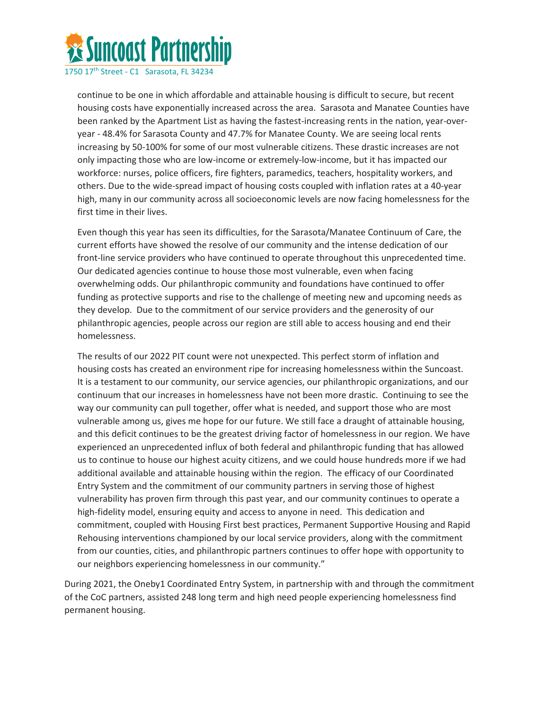

1750 17th Street - C1 Sarasota, FL 34234

continue to be one in which affordable and attainable housing is difficult to secure, but recent housing costs have exponentially increased across the area. Sarasota and Manatee Counties have been ranked by the Apartment List as having the fastest-increasing rents in the nation, year-overyear - 48.4% for Sarasota County and 47.7% for Manatee County. We are seeing local rents increasing by 50-100% for some of our most vulnerable citizens. These drastic increases are not only impacting those who are low-income or extremely-low-income, but it has impacted our workforce: nurses, police officers, fire fighters, paramedics, teachers, hospitality workers, and others. Due to the wide-spread impact of housing costs coupled with inflation rates at a 40-year high, many in our community across all socioeconomic levels are now facing homelessness for the first time in their lives.

Even though this year has seen its difficulties, for the Sarasota/Manatee Continuum of Care, the current efforts have showed the resolve of our community and the intense dedication of our front-line service providers who have continued to operate throughout this unprecedented time. Our dedicated agencies continue to house those most vulnerable, even when facing overwhelming odds. Our philanthropic community and foundations have continued to offer funding as protective supports and rise to the challenge of meeting new and upcoming needs as they develop. Due to the commitment of our service providers and the generosity of our philanthropic agencies, people across our region are still able to access housing and end their homelessness.

The results of our 2022 PIT count were not unexpected. This perfect storm of inflation and housing costs has created an environment ripe for increasing homelessness within the Suncoast. It is a testament to our community, our service agencies, our philanthropic organizations, and our continuum that our increases in homelessness have not been more drastic. Continuing to see the way our community can pull together, offer what is needed, and support those who are most vulnerable among us, gives me hope for our future. We still face a draught of attainable housing, and this deficit continues to be the greatest driving factor of homelessness in our region. We have experienced an unprecedented influx of both federal and philanthropic funding that has allowed us to continue to house our highest acuity citizens, and we could house hundreds more if we had additional available and attainable housing within the region. The efficacy of our Coordinated Entry System and the commitment of our community partners in serving those of highest vulnerability has proven firm through this past year, and our community continues to operate a high-fidelity model, ensuring equity and access to anyone in need. This dedication and commitment, coupled with Housing First best practices, Permanent Supportive Housing and Rapid Rehousing interventions championed by our local service providers, along with the commitment from our counties, cities, and philanthropic partners continues to offer hope with opportunity to our neighbors experiencing homelessness in our community."

During 2021, the Oneby1 Coordinated Entry System, in partnership with and through the commitment of the CoC partners, assisted 248 long term and high need people experiencing homelessness find permanent housing.